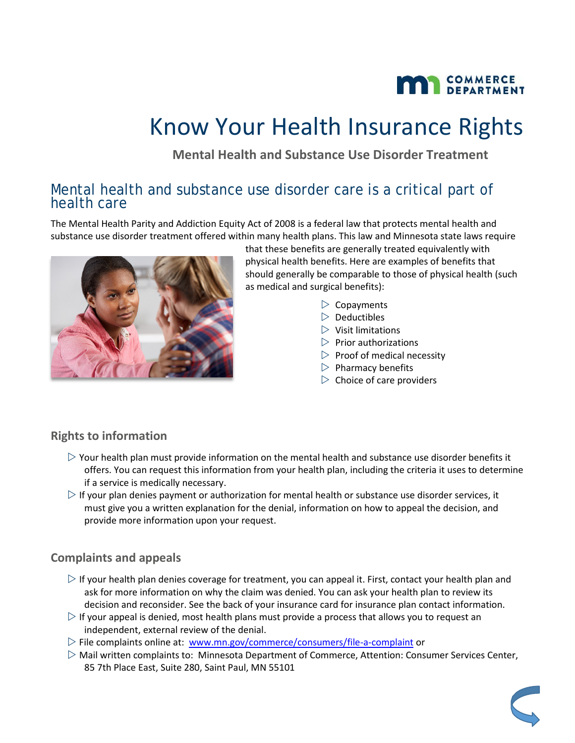

# Know Your Health Insurance Rights

**Mental Health and Substance Use Disorder Treatment**

### Mental health and substance use disorder care is a critical part of health care

The Mental Health Parity and Addiction Equity Act of 2008 is a federal law that protects mental health and substance use disorder treatment offered within many health plans. This law and Minnesota state laws require



that these benefits are generally treated equivalently with physical health benefits. Here are examples of benefits that should generally be comparable to those of physical health (such as medical and surgical benefits):

- $\triangleright$  Copayments
- $\triangleright$  Deductibles
- $\triangleright$  Visit limitations
- $\triangleright$  Prior authorizations
- $\triangleright$  Proof of medical necessity
- $\triangleright$  Pharmacy benefits
- $\triangleright$  Choice of care providers

#### **Rights to information**

- $\triangleright$  Your health plan must provide information on the mental health and substance use disorder benefits it offers. You can request this information from your health plan, including the criteria it uses to determine if a service is medically necessary.
- $\triangleright$  If your plan denies payment or authorization for mental health or substance use disorder services, it must give you a written explanation for the denial, information on how to appeal the decision, and provide more information upon your request.

#### **Complaints and appeals**

- $\triangleright$  If your health plan denies coverage for treatment, you can appeal it. First, contact your health plan and ask for more information on why the claim was denied. You can ask your health plan to review its decision and reconsider. See the back of your insurance card for insurance plan contact information.
- $\triangleright$  If your appeal is denied, most health plans must provide a process that allows you to request an independent, external review of the denial.
- $\triangleright$  File complaints online at: [www.mn.gov/commerce/consumers/file-a-complaint](http://www.mn.gov/commerce/consumers/file-a-complaint) or
- Mail written complaints to: Minnesota Department of Commerce, Attention: Consumer Services Center, 85 7th Place East, Suite 280, Saint Paul, MN 55101